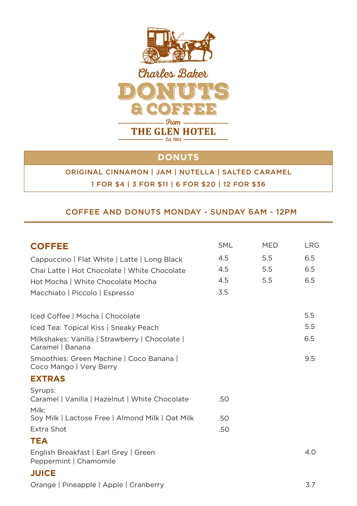

## **DONUTS**

## ORIGINAL CINNAMON | JAM | NUTELLA | SALTED CARAMEL 1 FOR \$4 | 3 FOR \$11 | 6 FOR \$20 | 12 FOR \$36

#### COFFEE AND DONUTS MONDAY - SUNDAY 6AM - 12PM

| <b>COFFEE</b>                                                       | <b>SML</b> | <b>MED</b> | <b>LRG</b> |
|---------------------------------------------------------------------|------------|------------|------------|
| Cappuccino   Flat White   Latte   Long Black                        | 4.5        | 5.5        | 6.5        |
| Chai Latte   Hot Chocolate   White Chocolate                        | 4.5        | 5.5        | 6.5        |
| Hot Mocha   White Chocolate Mocha                                   | 4.5        | 5.5        | 6.5        |
| Macchiato   Piccolo   Espresso                                      | 3.5        |            |            |
| Iced Coffee   Mocha   Chocolate                                     |            |            | 5.5        |
| Iced Tea: Topical Kiss   Sneaky Peach                               |            |            | 5.5        |
| Milkshakes: Vanilla   Strawberry   Chocolate  <br>Caramel   Banana  |            |            | 6.5        |
| Smoothies: Green Machine   Coco Banana  <br>Coco Mango   Very Berry |            |            | 9.5        |
| <b>EXTRAS</b>                                                       |            |            |            |
| Syrups:<br>Caramel   Vanilla   Hazelnut   White Chocolate           | .50        |            |            |
| Milk:<br>Soy Milk   Lactose Free   Almond Milk   Oat Milk           | .50        |            |            |
| Extra Shot                                                          | .50        |            |            |
| <b>TEA</b>                                                          |            |            |            |
| English Breakfast   Earl Grey   Green<br>Peppermint   Chamomile     |            |            | 4.0        |
| <b>JUICE</b>                                                        |            |            |            |
| Orange   Pineapple   Apple   Cranberry                              |            |            | 3.7        |